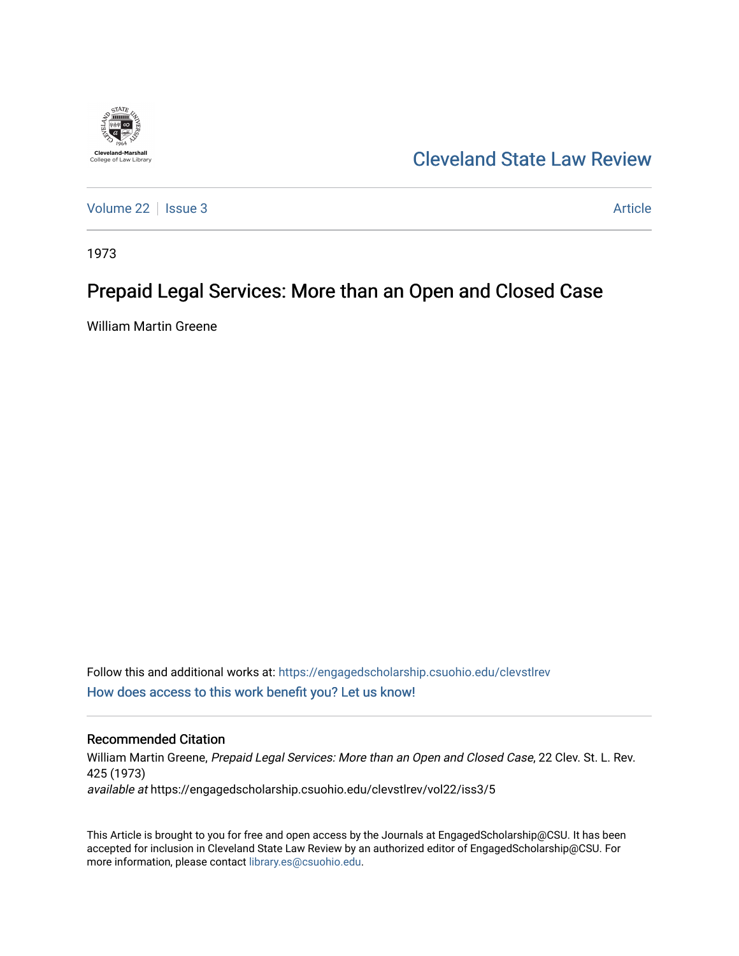

# [Cleveland State Law Review](https://engagedscholarship.csuohio.edu/clevstlrev)

[Volume 22](https://engagedscholarship.csuohio.edu/clevstlrev/vol22) | [Issue 3](https://engagedscholarship.csuohio.edu/clevstlrev/vol22/iss3) Article

1973

## Prepaid Legal Services: More than an Open and Closed Case

William Martin Greene

Follow this and additional works at: [https://engagedscholarship.csuohio.edu/clevstlrev](https://engagedscholarship.csuohio.edu/clevstlrev?utm_source=engagedscholarship.csuohio.edu%2Fclevstlrev%2Fvol22%2Fiss3%2F5&utm_medium=PDF&utm_campaign=PDFCoverPages) [How does access to this work benefit you? Let us know!](http://library.csuohio.edu/engaged/)

## Recommended Citation

William Martin Greene, Prepaid Legal Services: More than an Open and Closed Case, 22 Clev. St. L. Rev. 425 (1973) available at https://engagedscholarship.csuohio.edu/clevstlrev/vol22/iss3/5

This Article is brought to you for free and open access by the Journals at EngagedScholarship@CSU. It has been accepted for inclusion in Cleveland State Law Review by an authorized editor of EngagedScholarship@CSU. For more information, please contact [library.es@csuohio.edu](mailto:library.es@csuohio.edu).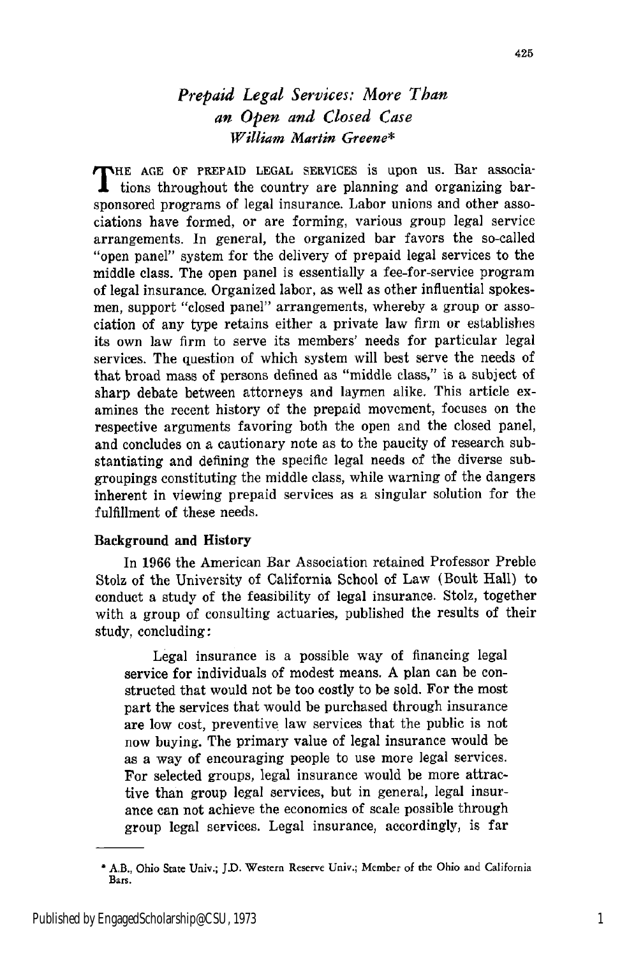## *Prepaid Legal Services: More Than an Open and Closed Case William Martin Greene\**

THE AGE OF PREPAID LEGAL SERVICES is upon us. Bar associa- $\mathbf I$  tions throughout the country are planning and organizing barsponsored programs of legal insurance. Labor unions and other associations have formed, or are forming, various group legal service arrangements. In general, the organized bar favors the so-called "open panel" system for the delivery of prepaid legal services to the middle class. The open panel is essentially a fee-for-service program of legal insurance. Organized labor, as well as other influential spokesmen, support "closed panel" arrangements, whereby a group or association of any type retains either a private law firm or establishes its own law firm to serve its members' needs for particular legal services. The question of which system will best serve the needs of that broad mass of persons defined as "middle class," is a subject of sharp debate between attorneys and laymen alike. This article examines the recent history of the prepaid movement, focuses on the respective arguments favoring both the open and the closed panel, and concludes on a cautionary note as to the paucity of research substantiating and defining the specific legal needs of the diverse subgroupings constituting the middle class, while warning of the dangers inherent in viewing prepaid services as a singular solution for the fulfillment of these needs.

### Background and History

In 1966 the American Bar Association retained Professor Preble Stolz of the University of California School of Law (Boult Hall) to conduct a study of the feasibility of legal insurance. Stolz, together with a group of consulting actuaries, published the results of their study, concluding:

Legal insurance is a possible way of financing legal service for individuals of modest means. A plan can be constructed that would not be too costly to be sold. For the most part the services that would be purchased through insurance are low cost, preventive law services that the public is not now buying. The primary value of legal insurance would be as a way of encouraging people to use more legal services. For selected groups, legal insurance would be more attractive than group legal services, but in general, legal insurance can not achieve the economics of scale possible through group legal services. Legal insurance, accordingly, is far

<sup>\*</sup> AB., Ohio State Univ.; **J.D.** Western Reserve Univ.; Member of the Ohio and California Bars.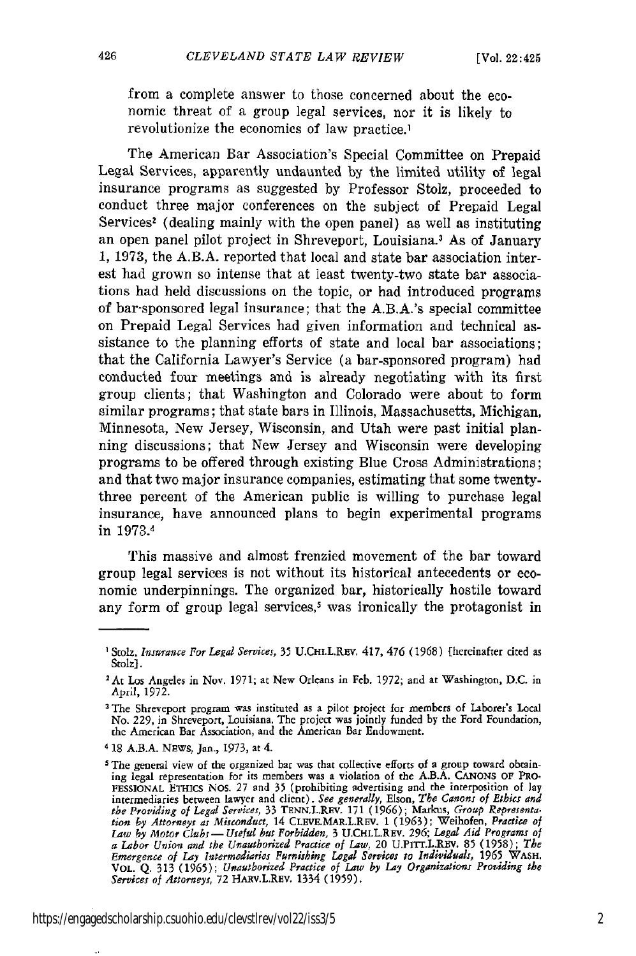from a complete answer to those concerned about the economic threat of a group legal services, nor it is likely to revolutionize the economics of law practice.1

The American Bar Association's Special Committee on Prepaid Legal Services, apparently undaunted by the limited utility of legal insurance programs as suggested by Professor Stolz, proceeded to conduct three major conferences on the subject of Prepaid Legal Services<sup>2</sup> (dealing mainly with the open panel) as well as instituting an open panel pilot project in Shreveport, Louisiana.<sup>3</sup> As of January 1, 1973, the A.B.A. reported that local and state bar association interest had grown so intense that at least twenty-two state bar associations had held discussions on the topic, or had introduced programs of bar-sponsored legal insurance; that the A.B.A.'s special committee on Prepaid Legal Services had given information and technical assistance to the planning efforts of state and local bar associations; that the California Lawyer's Service (a bar-sponsored program) had conducted four meetings and is already negotiating with its first group clients; that Washington and Colorado were about to form similar programs; that state bars in Illinois, Massachusetts, Michigan, Minnesota, New Jersey, Wisconsin, and Utah were past initial planning discussions; that New Jersey and Wisconsin were developing programs to be offered through existing Blue Cross Administrations; and that two major insurance companies, estimating that some twentythree percent of the American public is willing to purchase legal insurance, have announced plans to begin experimental programs in 1973.1

This massive and almost frenzied movement of the bar toward group legal services is not without its historical antecedents or economic underpinnings. The organized bar, historically hostile toward any form of group legal services,<sup>5</sup> was ironically the protagonist in

**<sup>I</sup>**Stolz, *Insurance For Legal Services,* 35 U.CHI.L.REv. 417, 476 (1968) [hereinafter cited as Stolz].

<sup>&</sup>lt;sup>2</sup> At Los Angeles in Nov. 1971; at New Orleans in Feb. 1972; and at Washington, D.C. in April, 1972.

**<sup>3</sup>**The Shreveport program was instituted as **a** pilot project for members of Laborer's Local No. 229, in Shreveport, Louisiana. The project was jointly funded by the Ford Foundation, the American Bar Association, and the American Bar Endowment.

<sup>&</sup>lt;sup>4</sup> 18 A.B.A. NEWS, Jan., 1973, at 4.

**<sup>5</sup>** The general view of the organized bar was that collective efforts of a group toward obtaining legal representation for its members was a violation of the A.B.A. **CANONS OF PRO-FESSIONAL** ETHICS NOS. 27 and 35 (prohibiting advertising and the interposition of lay intermediaries between lawyer and client). See generally, Elson, The Canons of Ethics and<br>the Providing of Legal Services, 33 TENN.L.REV. 171 (1966); Markus, Group Representa.<br>tion by Attorneys as Misconduct, 14 CLEVE.MAR. a Labor Union and the Unauthorized Practice of Law, 20 U.PITT.L.REV. 85 (1958); The<br>Emergence of Lay Intermediaries Furnishing Legal Services to Individuals, 1965 WASH.<br>VOL. Q. 313 (1965); Unauthorized Practice of Law by L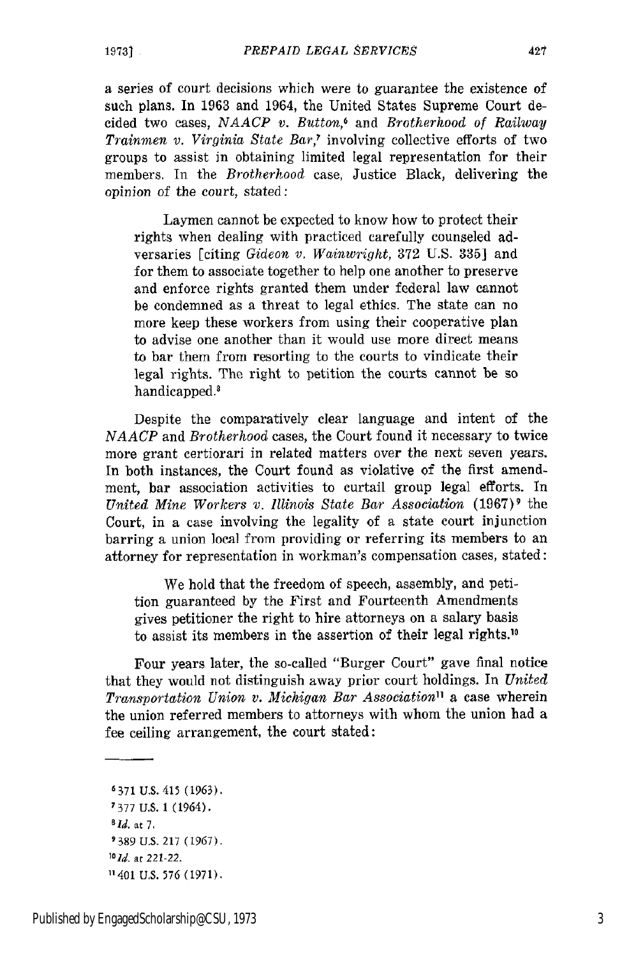a series of court decisions which were to guarantee the existence of such plans. In 1963 and 1964, the United States Supreme Court decided two cases, *NAACP v. Button,6* and *Brotherhood of Railway Trainmen v. Virginia State Bar,'* involving collective efforts of two groups to assist in obtaining limited legal representation for their members. In the *Brotherhood* case, Justice Black, delivering the opinion of the court, stated:

Laymen cannot be expected to know how to protect their rights when dealing with practiced carefully counseled adversaries [citing *Gideon v. Wainwright,* 372 U.S. 335] and for them to associate together to help one another to preserve and enforce rights granted them under federal law cannot be condemned as a threat to legal ethics. The state can no more keep these workers from using their cooperative plan to advise one another than it would use more direct means to bar them from resorting to the courts to vindicate their legal rights. The right to petition the courts cannot be so handicapped.'

Despite the comparatively clear language and intent of the *NAACP* and *Brotherhood* cases, the Court found it necessary to twice more grant certiorari in related matters over the next seven years. In both instances, the Court found as violative of the first amendment, bar association activities to curtail group legal efforts. In *United Mine Workers v. Illinois State Bar Association* (1967)<sup>9</sup> the Court, in a case involving the legality of a state court injunction barring a union local from providing or referring its members to an attorney for representation in workman's compensation cases, stated:

We hold that the freedom of speech, assembly, and petition guaranteed by the First and Fourteenth Amendments gives petitioner the right to hire attorneys on a salary basis to assist its members in the assertion of their legal rights.10

Four years later, the so-called "Burger Court" gave final notice that they would not distinguish away prior court holdings. In *United Transportation Union v. Michigan Bar Association"* a case wherein the union referred members to attorneys with whom the union had a fee ceiling arrangement, the court stated:

Published by EngagedScholarship@CSU, 1973 3

427

<sup>6371</sup> U.S. 415 (1963). 7377 U.S. 1 (1964). *1Id,* at **7. 9389** U.S. 217 (1967). *'Old.* at *221-22.* "401 U.S. 576 (1971).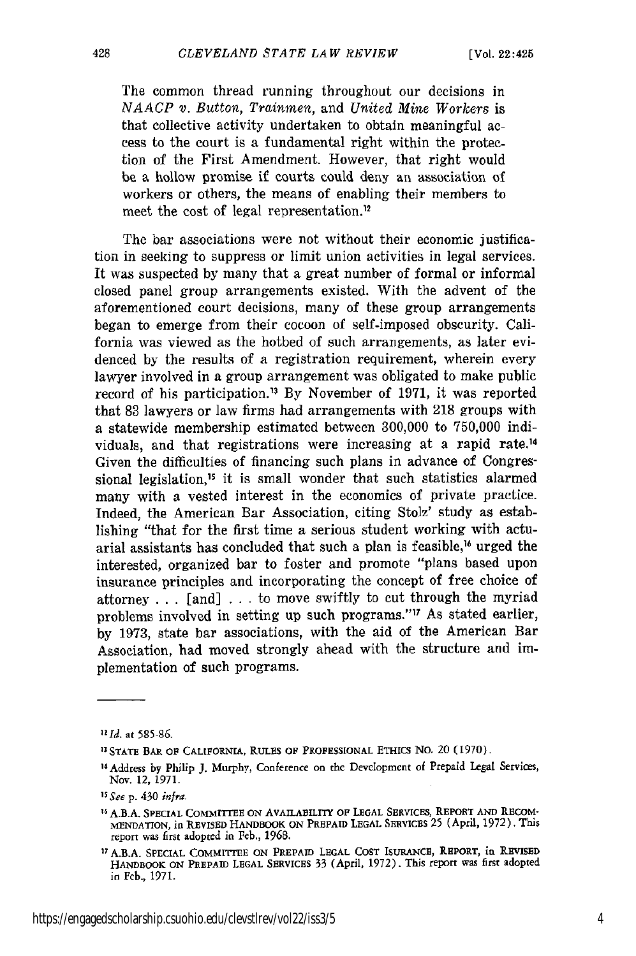The common thread running throughout our decisions in *NAACP v. Button, Trainmen,* and *United Mine Workers* is that collective activity undertaken to obtain meaningful access to the court is a fundamental right within the protection of the First Amendment. However, that right would be a hollow promise if courts could deny an association of workers or others, the means of enabling their members to meet the cost of legal representation.<sup>12</sup>

The bar associations were not without their economic justification in seeking to suppress or limit union activities in legal services. It was suspected by many that a great number of formal or informal closed panel group arrangements existed. With the advent of the aforementioned court decisions, many of these group arrangements began to emerge from their cocoon of self-imposed obscurity. California was viewed as the hotbed of such arrangements, as later evidenced by the results of a registration requirement, wherein every lawyer involved in a group arrangement was obligated to make public record of his participation." By November of 1971, it was reported that 83 lawyers or law firms had arrangements with 218 groups with a statewide membership estimated between 300,000 to 750,000 individuals, and that registrations were increasing at a rapid rate.14 Given the difficulties of financing such plans in advance of Congressional legislation,<sup>15</sup> it is small wonder that such statistics alarmed many with a vested interest in the economics of private practice. Indeed, the American Bar Association, citing Stolz' study as establishing "that for the first time a serious student working with actuarial assistants has concluded that such a plan is feasible,<sup>16</sup> urged the interested, organized bar to foster and promote "plans based upon insurance principles and incorporating the concept of free choice of attorney  $\ldots$  [and]  $\ldots$  to move swiftly to cut through the myriad problems involved in setting up such programs."<sup>17</sup> As stated earlier, by 1973, state bar associations, with the aid of the American Bar Association, had moved strongly ahead with the structure and implementation of such programs.

428

*<sup>121</sup>d.* at **585-6.**

**<sup>13</sup> STATE BAR OF CALIFORNIA, RULES OF PROFESSIONAL** ETHICS **No.** 20 (1970)

<sup>&</sup>lt;sup>14</sup> Address by Philip J. Murphy, Conference on the Development of Prepaid Legal Services, Nov. 12, 1971.

*<sup>15</sup> See* p. 430 *infra.*

<sup>&</sup>lt;sup>16</sup> A.B.A. SPECIAL COMMITTEE ON AVAILABILITY OF LEGAL SERVICES, REPORT AND RECOM-**MENDATION,** in REVISED **HANDBOOK ON PREPAID** LEGAL SERVlCES 25 (April, 1972). This report was first adopted in Fcb., 1968.

**<sup>17</sup>** A.B.A. **SPECIAL** COMMITTEE **ON** PREPAID **LEGAL COST ISUIANCE,** REPORT, in REVISED HANDBOOK **ON** PREPAID **LEGAL** SERVICES 33 (April, 1972). This report was first adopted in Feb., 1971.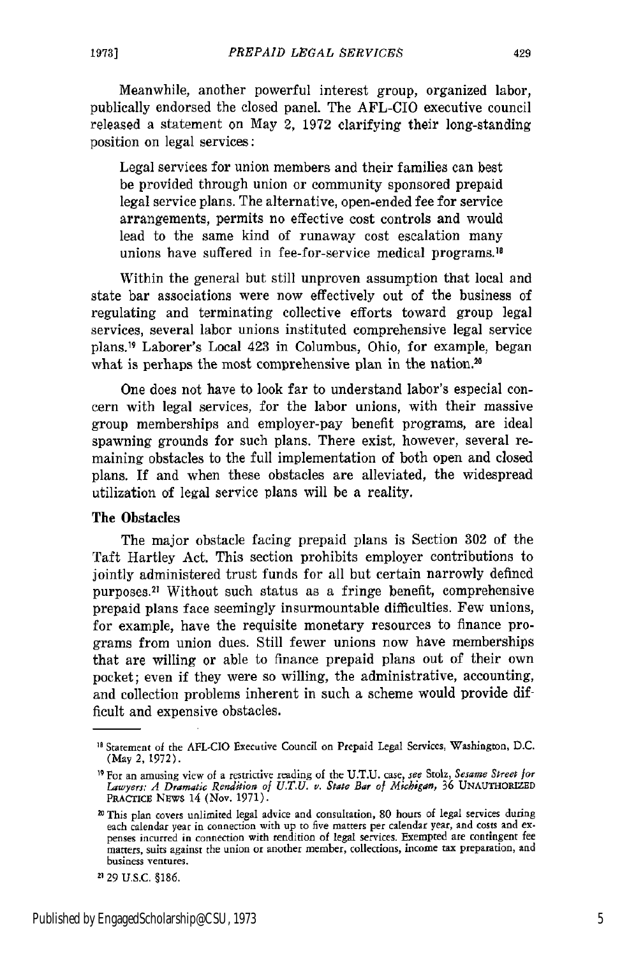Meanwhile, another powerful interest group, organized labor, publically endorsed the closed panel. The AFL-CIO executive council released a statement on May 2, 1972 clarifying their long-standing position on legal services:

Legal services for union members and their families can best be provided through union or community sponsored prepaid legal service plans. The alternative, open-ended fee for service arrangements, permits no effective cost controls and would lead to the same kind of runaway cost escalation many unions have suffered in fee-for-service medical programs.<sup>18</sup>

Within the general but still unproven assumption that local and state bar associations were now effectively out of the business of regulating and terminating collective efforts toward group legal services, several labor unions instituted comprehensive legal service plans. 19 Laborer's Local 423 in Columbus, Ohio, for example, began what is perhaps the most comprehensive plan in the nation.<sup>20</sup>

One does not have to look far to understand labor's especial concern with legal services, for the labor unions, with their massive group memberships and employer-pay benefit programs, are ideal spawning grounds for such plans. There exist, however, several remaining obstacles to the full implementation of both open and closed plans. If and when these obstacles are alleviated, the widespread utilization of legal service plans will be a reality.

## The Obstacles

The major obstacle facing prepaid plans is Section 302 of the Taft Hartley Act. This section prohibits employer contributions to jointly administered trust funds for all but certain narrowly defined purposes.<sup>21</sup> Without such status as a fringe benefit, comprehensive prepaid plans face seemingly insurmountable difficulties. Few unions, for example, have the requisite monetary resources to finance programs from union dues. Still fewer unions now have memberships that are willing or able to finance prepaid plans out of their own pocket; even if they were so willing, the administrative, accounting, and collection problems inherent in such a scheme would provide difficult and expensive obstacles.

<sup>&#</sup>x27;B Statement of the AFL-CIO Executive Council on Prepaid Legal Services, Washington, **D.C.** (May 2, 1972).

<sup>&#</sup>x27; For an amusing view of a restrictive reading of the **U.T.U.** case, *see* Stolz, *Sesame Street for Lawyers: A Dramatic Rendition of U.T.U. v. State Bar of Michigan,* 36 UNAUTHORIZED PRACTICE NEws 14 (Nov. 1971).

<sup>20</sup> This plan covers unlimited legal advice and consultation, 80 hours of legal services during each calendar year in connection with up to five matters per calendar year, and costs and ex penses incurred in connection with rendition of legal services. Exempted are contingent fee matters, suits against the union or another member, collections, income tax preparation, and business ventures.

**<sup>2</sup>** 29 U.S.C. §186.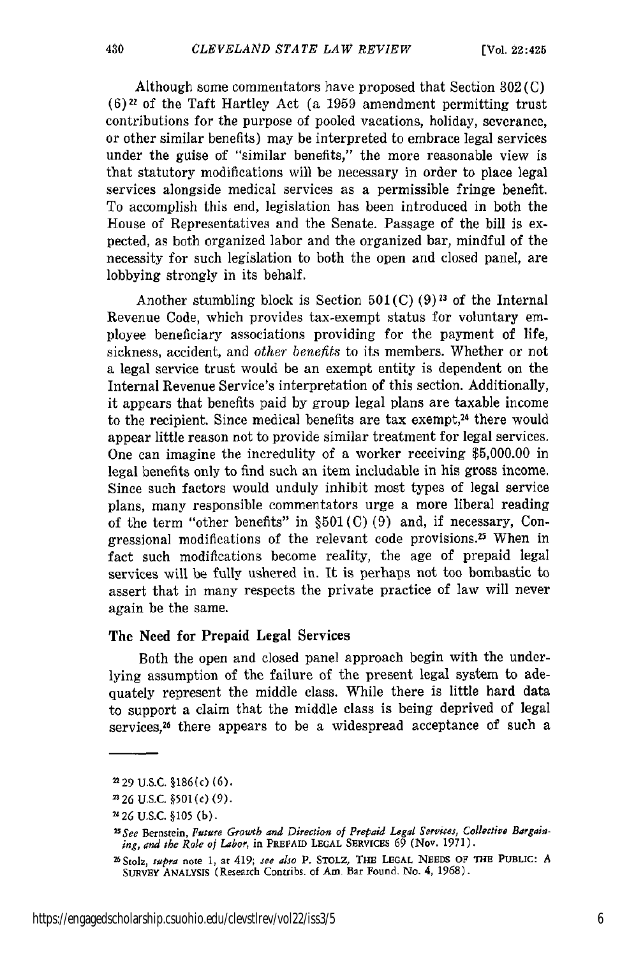Although some commentators have proposed that Section 302 (C) **(6)22** of the Taft Hartley Act (a 1959 amendment permitting trust contributions for the purpose of pooled vacations, holiday, severance, or other similar benefits) may be interpreted to embrace legal services under the guise of "similar benefits," the more reasonable view is that statutory modifications will be necessary in order to place legal services alongside medical services as a permissible fringe benefit. To accomplish this end, legislation has been introduced in both the House of Representatives and the Senate. Passage of the bill is expected, as both organized labor and the organized bar, mindful of the necessity for such legislation to both the open and closed panel, are lobbying strongly in its behalf.

Another stumbling block is Section  $501(C)$  (9)<sup>23</sup> of the Internal Revenue Code, which provides tax-exempt status for voluntary employee beneficiary associations providing for the payment of life, sickness, accident, and *other benefits* to its members. Whether or not a legal service trust would be an exempt entity is dependent on the Internal Revenue Service's interpretation of this section. Additionally, it appears that benefits paid by group legal plans are taxable income to the recipient. Since medical benefits are tax exempt,<sup>24</sup> there would appear little reason not to provide similar treatment for legal services. One can imagine the incredulity of a worker receiving \$5,000.00 in legal benefits only to find such an item includable in his gross income. Since such factors would unduly inhibit most types of legal service plans, many responsible commentators urge a more liberal reading of the term "other benefits" in  $\S501$ (C)(9) and, if necessary, Congressional modifications of the relevant code provisions.<sup>25</sup> When in fact such modifications become reality, the age of prepaid legal services will be fully ushered in. It is perhaps not too bombastic to assert that in many respects the private practice of law will never again be the same.

## The Need for Prepaid Legal Services

Both the open and closed panel approach begin with the underlying assumption of the failure of the present legal system to adequately represent the middle class. While there is little hard data to support a claim that the middle class is being deprived of legal services, 26 there appears to be a widespread acceptance of such a

**<sup>&</sup>quot;29** U.S.C. §186(c) (6).

**<sup>2326</sup>** U.S.C. **§501(c)** (9).

*<sup>226</sup>* U.S.C. §105 (b).

<sup>&</sup>lt;sup>25</sup> See Bernstein, *Future Growth and Direction of Prepaid Legal Services*, Collective Bargaining, *and the Role of Labor,* in **PREPAID** LEGAL SERVICEs 69 (Nov. **1971).**

**<sup>26</sup> Stol,** *sapra* **note 1, at** 419; *see also* P. **STOLZ,** *TIE* **LEGAL NEEDS** OF **THE PUBLIC:** *A* SuRvEY **ANALYSIS** (Research Contribs. **of Am Bar** Found. No. **4, 1968).**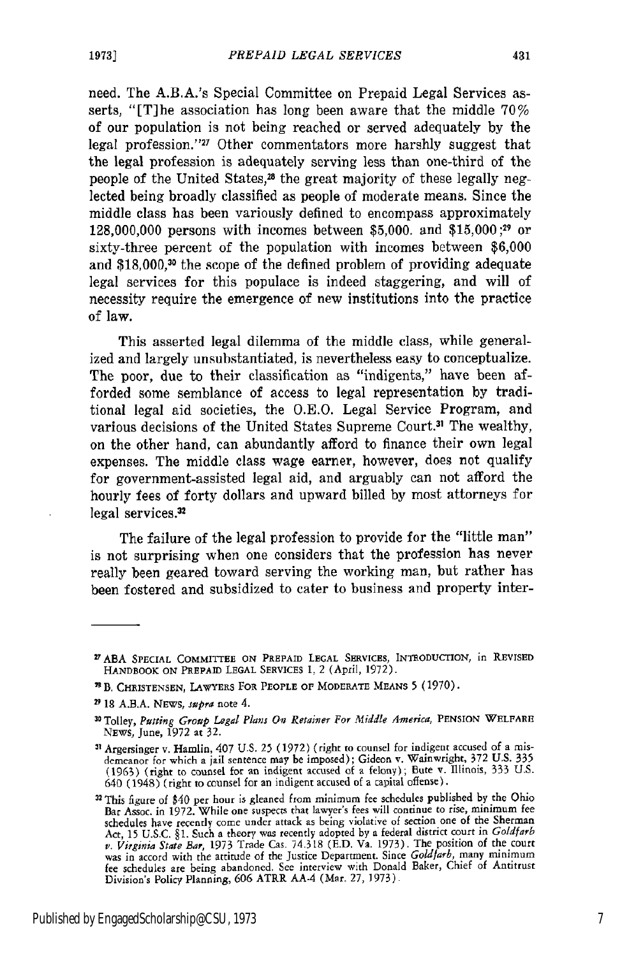need. The A.B.A.'s Special Committee on Prepaid Legal Services asserts, "[T]he association has long been aware that the middle 70% of our population is not being reached or served adequately by the legal profession."'" Other commentators more harshly suggest that the legal profession is adequately serving less than one-third of the people of the United States,<sup>28</sup> the great majority of these legally neglected being broadly classified as people of moderate means. Since the middle class has been variously defined to encompass approximately 128,000,000 persons with incomes between \$5,000. and \$15,000;<sup>29</sup> or sixty-three percent of the population with incomes between \$6,000 and \$18,000,<sup>30</sup> the scope of the defined problem of providing adequate legal services for this populace is indeed staggering, and will of necessity require the emergence of new institutions into the practice of law.

This asserted legal dilemma of the middle class, while generalized and largely unsubstantiated, is nevertheless easy to conceptualize. The poor, due to their classification as "indigents," have been afforded some semblance of access to legal representation by traditional legal aid societies, the O.E.O. Legal Service Program, and various decisions of the United States Supreme Court.31 The wealthy, on the other hand, can abundantly afford to finance their own legal expenses. The middle class wage earner, however, does not qualify for government-assisted legal aid, and arguably can not afford the hourly fees of forty dollars and upward billed by most attorneys for legal services.<sup>32</sup>

The failure of the legal profession to provide for the "little man" is not surprising when one considers that the profession has never really been geared toward serving the working man, but rather has been fostered and subsidized to cater to business and property inter-

<sup>&</sup>lt;sup>27</sup> ABA SPECIAL COMMITTEE ON PREPAID LEGAL SERVICES, INTRODUCTION, in REVISED HANDBOOK **ON** PREPAID **LEGAL** SERVICES **1.** 2 (April, 1972).

**B, CHRISTENSEN,** LAWYERS **FOR** PEOPLE **OF MODERATE MEANS 5** (1970).

**<sup>2918</sup> A.B.A.** NEWS, *spra* note 4.

**<sup>30</sup>** Tolley, *Putting Group Legal Plans On Retainer For Middle America,* PENSION WELFARE **NEWS,** June, 1972 at 32.

**<sup>31</sup>** Argersinger v. Hamlin, 407 U.S. 25 (1972) (right to counsel for indigent accused of a misdemeanor for which a jail sentence may be imposed); Gideon v. Wainwright, 372 U.S. **335** (1963) (right to counsel for an indigent accused of a felony); Bute v. Illinois, 333 U.S. 640 (1948) (right **to** counsel for an indigent accused of a capital offense).

**<sup>32</sup>**This figure of \$40 per hour is gleaned from minimum fee schedules published **by** the Ohio Bar Assoc. in 1972. While one suspects that lawyer's fees will continue to rise, minimum fee schedules have recently come under attack as being violative of section one of the Sherman Act, **15** U.S.C. §1. Such a theory was recently adopted by a federal district court in *Goldfarb v. Virginia State Bar,* 1973 Trade Cas. 74.318 (E.D. Va. 1973). The position of the court was in accord with the attitude of the Justice Department. Since *Goldfarb*, many minimum<br>fee schedules are being abandoned. See interview with Donald Baker, Chief of Antitrus<br>Division's Policy Planning, 606 ATRR AA-4 (Mar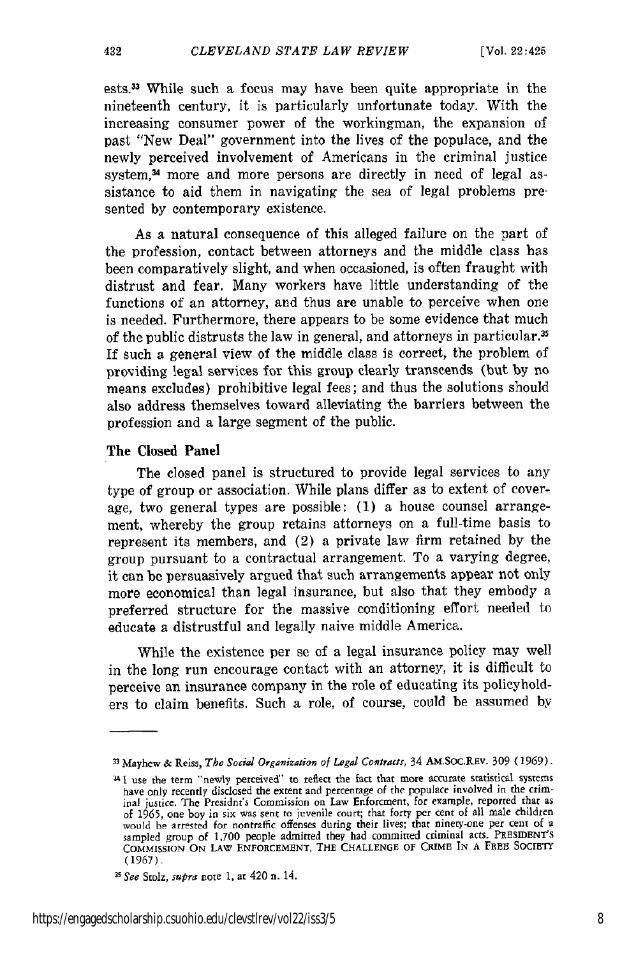ests.33 While such a focus may have been quite appropriate in the nineteenth century, it is particularly unfortunate today. With the increasing consumer power of the workingman, the expansion of past "New Deal" government into the lives of the populace, and the newly perceived involvement of Americans in the criminal justice system,<sup>34</sup> more and more persons are directly in need of legal assistance to aid them in navigating the sea of legal problems presented by contemporary existence.

As a natural consequence of this alleged failure on the part of the profession, contact between attorneys and the middle class has been comparatively slight, and when occasioned, is often fraught with distrust and fear. Many workers have little understanding of the functions of an attorney, and thus are unable to perceive when one is needed. Furthermore, there appears to be some evidence that much of the public distrusts the law in general, and attorneys in particular.<sup>35</sup> If such a general view of the middle class is correct, the problem of providing legal services for this group clearly transcends (but by no means excludes) prohibitive legal fees; and thus the solutions should also address themselves toward alleviating the barriers between the profession and a large segment of the public.

### The Closed **Panel**

The closed panel is structured to provide legal services to any type of group or association. While plans differ as to extent of coverage, two general types are possible: (1) a house counsel arrangement, whereby the group retains attorneys on a full-time basis to represent its members, and (2) a private law firm retained **by** the group pursuant to a contractual arrangement. To a varying degree, it can be persuasively argued that such arrangements appear not only more economical than legal insurance, but also that they embody a preferred structure for the massive conditioning effort needed to educate a distrustful and legally naive middle America.

While the existence per se of a legal insurance policy may well in the long run encourage contact with an attorney, it is difficult to perceive an insurance company in the role of educating its policyholders to claim benefits. Such a role, of course, could be assumed **by**

**<sup>33</sup>**Mayhew & Reiss, The Social Organization of Legal Contracts, 34 AM.Soc.REv. 309 (1969).

<sup>&</sup>lt;sup>34</sup> I use the term "newly perceived" to reflect the fact that more accurate statistical systems have only recently disclosed the extent and percentage of the populace involved in the criminal justice. The Presidnt's Commission on Law Enforcment, for example, reported that as of 1965, one boy in six was sent to juvenile court; that forty per cent of all male children would be arrested for nontraffic offenses during their lives; that ninety-one per cent of a sampled group of **1,700** people admitted they had committed criminal acts. **PRESIDENT'S COMMISSION ON LAW ENFORCEMENT,** THE **CHALLENGE OF** CRIME IN **A** FREE **SOCIETY (1967)**

**<sup>31</sup>** *See* Stolz, supra note **1,** at 420 n. 14.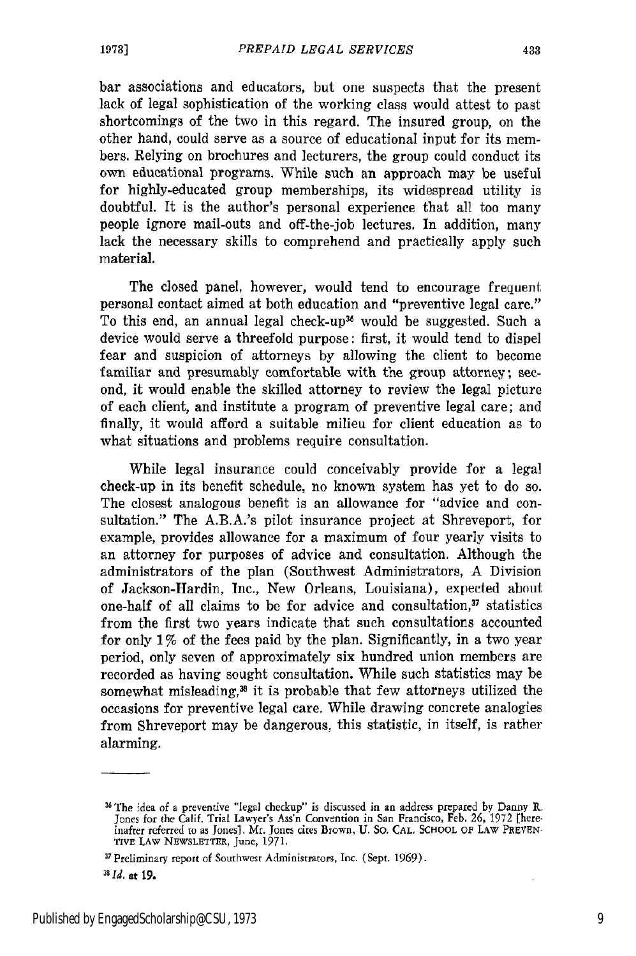bar associations and educators, but one suspects that the present lack of legal sophistication of the working class would attest to past shortcomings of the two in this regard. The insured group, on the other hand, could serve as a source of educational input for its members. Relying on brochures and lecturers, the group could conduct its own educational programs. While such an approach may be useful for highly-educated group memberships, its widespread utility is doubtful. It is the author's personal experience that all too many people ignore mail-outs and off-the-job lectures. In addition, many lack the necessary skills to comprehend and practically apply such material.

The closed panel, however, would tend to encourage frequent personal contact aimed at both education and "preventive legal care." To this end, an annual legal check-up<sup>36</sup> would be suggested. Such a device would serve a threefold purpose: first, it would tend to dispel fear and suspicion of attorneys by allowing the client to become familiar and presumably comfortable with the group attorney; second, it would enable the skilled attorney to review the legal picture of each client, and institute a program of preventive legal care; and finally, it would afford a suitable milieu for client education as to what situations and problems require consultation.

While legal insurance could conceivably provide for a legal check-up in its benefit schedule, no known system has yet to do so. The closest analogous benefit is an allowance for "advice and consultation." The A.B.A.'s pilot insurance project at Shreveport, for example, provides allowance for a maximum of four yearly visits to an attorney for purposes of advice and consultation. Although the administrators of the plan (Southwest Administrators, A Division of Jackson-Hardin, Inc., New Orleans, Louisiana), expected about one-half of all claims to be for advice and consultation, $\mathbf{v}$  statistics from the first two years indicate that such consultations accounted for only 1% of the fees paid by the plan. Significantly, in a two year period, only seven of approximately six hundred union members are recorded as having sought consultation. While such statistics may be somewhat misleading, $x$  it is probable that few attorneys utilized the occasions for preventive legal care. While drawing concrete analogies from Shreveport may be dangerous, this statistic, in itself, is rather alarming.

<sup>2</sup> The idea of a preventive "legal checkup" is discussed in an address prepared **by** Danny **R.** Jones for the Calif. Trial Lawyer's Ass'n Convention in San Francisco, Feb. **26,** 1972 [hereinafter referred to as Jonesi. Mr. Tones cites Brown, U. **So. CAL, SCHOOL OF** LAW PREVEN-TIVE LAW NEWSLETTER, June, 1971.

**<sup>37</sup>** Preliminary report of Southwest Administrators, Inc. (Sept. 1969).

*a1 Id.* at **19.**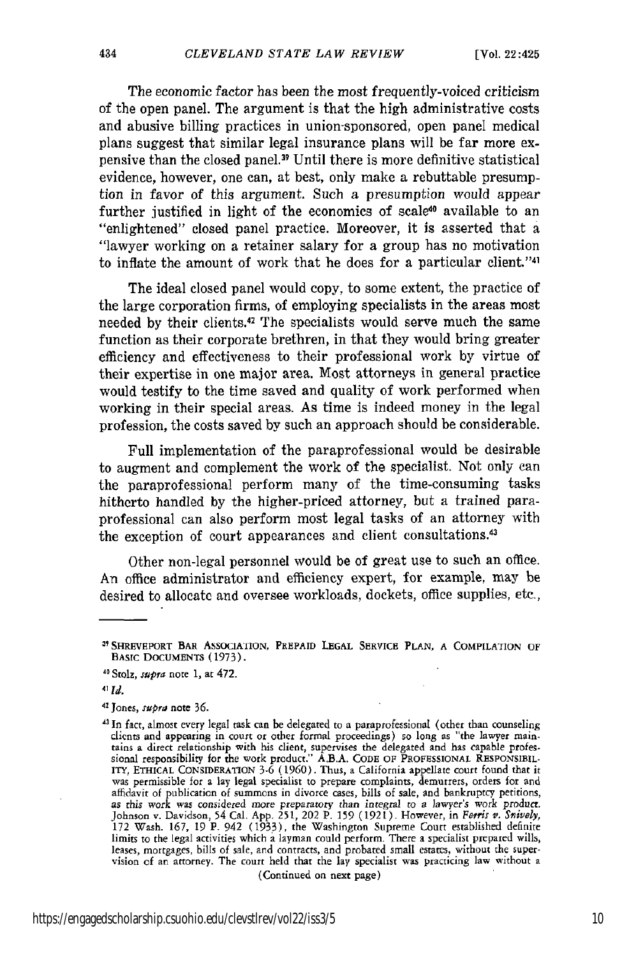The economic factor has been the most frequently-voiced criticism of the open panel. The argument is that the high administrative costs and abusive billing practices in union-sponsored, open panel medical plans suggest that similar legal insurance plans will be far more expensive than the closed panel.39 Until there is more definitive statistical evidence, however, one can, at best, only make a rebuttable presumption in favor of this argument. Such a presumption would appear further justified in light of the economics of scale<sup>40</sup> available to an "enlightened" closed panel practice. Moreover, it is asserted that a "lawyer working on a retainer salary for a group has no motivation to inflate the amount of work that he does for a particular client. '41

The ideal closed panel would copy, to some extent, the practice of the large corporation firms, of employing specialists in the areas most needed by their clients.<sup>42</sup> The specialists would serve much the same function as their corporate brethren, in that they would bring greater efficiency and effectiveness to their professional work by virtue of their expertise in one major area. Most attorneys in general practice would testify to the time saved and quality of work performed when working in their special areas. As time is indeed money in the legal profession, the costs saved by such an approach should be considerable.

Full implementation of the paraprofessional would be desirable to augment and complement the work of the specialist. Not only can the paraprofessional perform many of the time-consuming tasks hitherto handled by the higher-priced attorney, but a trained paraprofessional can also perform most legal tasks of an attorney with the exception of court appearances and client consultations.<sup>43</sup>

Other non-legal personnel would be of great use to such an office. An office administrator and efficiency expert, for example, may be desired to allocate and oversee workloads, dockets, office supplies, etc.,

<sup>&</sup>quot;SHREVEPORT **BAR** AssoCA IION, PREPAID **LEGAL** SERVICE **PLAN, A** COMPILATION **OF BASIC DOCUMENTS** (1973).

**<sup>11</sup>**Stolz, *supra* note 1, at 472.

<sup>41</sup> *Id.*

**<sup>11</sup>**Jones, *supra* note **36.**

**<sup>&#</sup>x27;In** fact, almost every legal task can be delegated to a paraprofessional (other than counseling clients and appearing in court or other formal proceedings) so long as "the lawyer maintains a direct relationship with his client, supervises the delegated and has capable professional responsibility for the work product. was permissible for a lay legal specialist to prepare complaints, demurrers, orders for and affidavit of publication of summons in divorce cases, bills of sale, and bankruptcy petitions, as this work was considered more preparatory than integral to a lawyer's work product<br>Johnson v. Davidson, 54 Cal. App. 251, 202 P. 159 (1921). However, in Ferris v. Snively<br>172 Wash. 167, 19 P. 942 (1933), the Washington limits to the legal activities which a layman could perform. There a specialist prepared wills, leases, mortgages, bills of sale, and contracts, and probated small estates, without the supervision of an attorney. The court held that the lay specialist was practicing law without a (Continued on next page)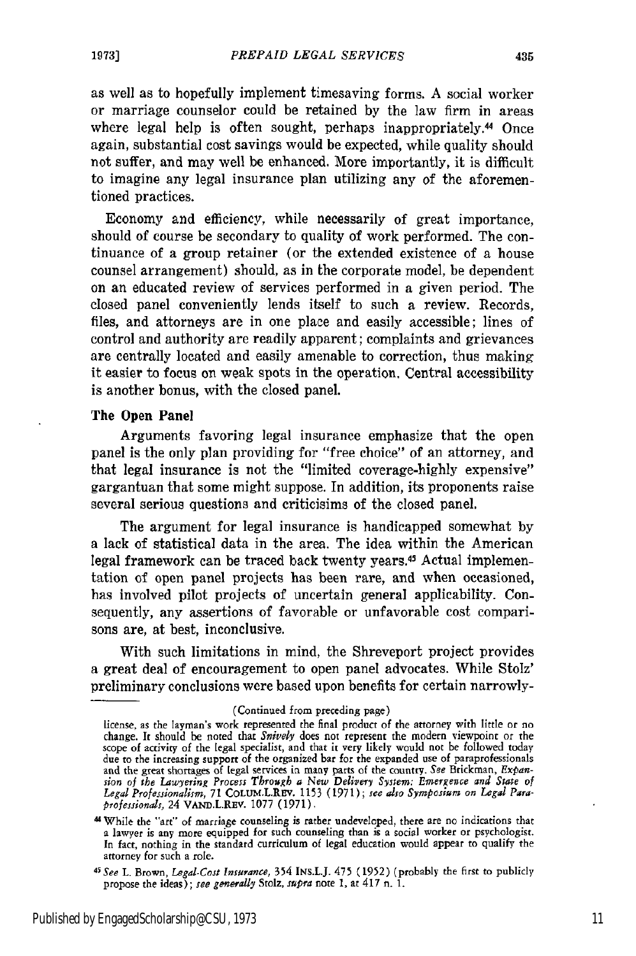as well as to hopefully implement timesaving forms. A social worker or marriage counselor could be retained by the law firm in areas where legal help is often sought, perhaps inappropriately.<sup>44</sup> Once again, substantial cost savings would be expected, while quality should not suffer, and may well be enhanced. More importantly, it is difficult to imagine any legal insurance plan utilizing any of the aforementioned practices.

Economy and efficiency, while necessarily of great importance, should of course be secondary to quality of work performed. The continuance of a group retainer (or the extended existence of a house counsel arrangement) should, as in the corporate model, be dependent on an educated review of services performed in a given period. The closed panel conveniently lends itself to such a review. Records, files, and attorneys are in one place and easily accessible; lines of control and authority are readily apparent; complaints and grievances are centrally located and easily amenable to correction, thus making it easier to focus on weak spots in the operation. Central accessibility is another bonus, with the closed panel.

### The Open Panel

Arguments favoring legal insurance emphasize that the open panel is the only plan providing for "free choice" of an attorney, and that legal insurance is not the "limited coverage-highly expensive" gargantuan that some might suppose. In addition, its proponents raise several serious questions and criticisims of the closed panel.

The argument for legal insurance is handicapped somewhat by a lack of statistical data in the area. The idea within the American legal framework can be traced back twenty years.45 Actual implementation of open panel projects has been rare, and when occasioned, has involved pilot projects of uncertain general applicability. Consequently, any assertions of favorable or unfavorable cost comparisons are, at best, inconclusive.

With such limitations in mind, the Shreveport project provides a great deal of encouragement to open panel advocates. While Stolz' preliminary conclusions were based upon benefits for certain narrowly-

<sup>(</sup>Continued from preceding page)

license, as the layman's work represented the final product of the attorney with little or no change. It should be noted that *Snivety* does not represent the modern viewpoint or the scope of activity of the legal specialist, and that it very likely would not be followed today due to the increasing support of the organized bar for the expanded use of paraprofessionals and the great shortages of legal services in many parts **of** the country. See Brickman, *Expansion oj the Lawyeting Process Through a New Delivery System: Emergence and State of Legal Professionalism,* 71 COLUNLREv. 1153 (1971); *see also Symposium on Legal Paraprofessionals,* 24 VAND.L.REV. 1077 (1971).

MWhile the "art" of marriage counseling is rather undeveloped, there are no indications that a lawyer is any more equipped for such counseling than is a social worker or psychologist. In fact, nothing in the standard curriculum of legal education would appear to qualify the attorney for such a role. *<sup>4</sup>*

*<sup>5</sup>See* L. Brown, *Legal-Cost Insuranee,* 354 INs.L.J. 475 (1952) (probably the first to publicly propose **the** ideas); *tee generally* Stolz, *spura* note 1, at 417 n. **1.**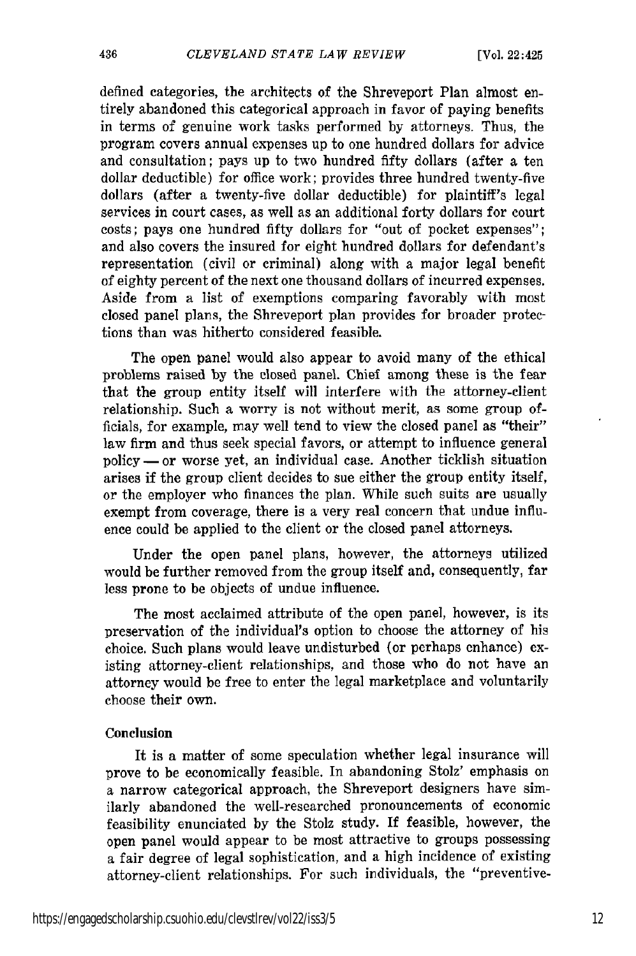defined categories, the architects of the Shreveport Plan almost entirely abandoned this categorical approach in favor of paying benefits in terms of genuine work tasks performed by attorneys. Thus, the program covers annual expenses up to one hundred dollars for advice and consultation; pays up to two hundred fifty dollars (after a ten dollar deductible) for office work; provides three hundred twenty-five dollars (after a twenty-five dollar deductible) for plaintiff's legal services in court cases, as well as an additional forty dollars for court costs; pays one hundred fifty dollars for "out of pocket expenses"; and also covers the insured for eight hundred dollars for defendant's representation (civil or criminal) along with a major legal benefit of eighty percent of the next one thousand dollars of incurred expenses. Aside from a list of exemptions comparing favorably with most closed panel plans, the Shreveport plan provides for broader protections than was hitherto considered feasible.

The open panel would also appear to avoid many of the ethical problems raised by the closed panel. Chief among these is the fear that the group entity itself will interfere with the attorney-client relationship. Such a worry is not without merit, as some group officials, for example, may well tend to view the closed panel as "their" law firm and thus seek special favors, or attempt to influence general policy **-** or worse yet, an individual case. Another ticklish situation arises if the group client decides to sue either the group entity itself, or the employer who finances the plan. While such suits are usually exempt from coverage, there is a very real concern that undue influence could be applied to the client or the closed panel attorneys.

Under the open panel plans, however, the attorneys utilized would be further removed from the group itself and, consequently, far less prone to be objects of undue influence.

The most acclaimed attribute of the open panel, however, is its preservation of the individual's option to choose the attorney of his choice. Such plans would leave undisturbed (or perhaps enhance) existing attorney-client relationships, and those who do not have an attorney would be free to enter the legal marketplace and voluntarily choose their own.

#### Conclusion

It is a matter of some speculation whether legal insurance will prove to be economically feasible. In abandoning Stolz' emphasis on a narrow categorical approach, the Shreveport designers have similarly abandoned the well-researched pronouncements of economic feasibility enunciated by the Stolz study. If feasible, however, the open panel would appear to be most attractive to groups possessing a fair degree of legal sophistication, and a high incidence of existing attorney-client relationships. For such individuals, the "preventive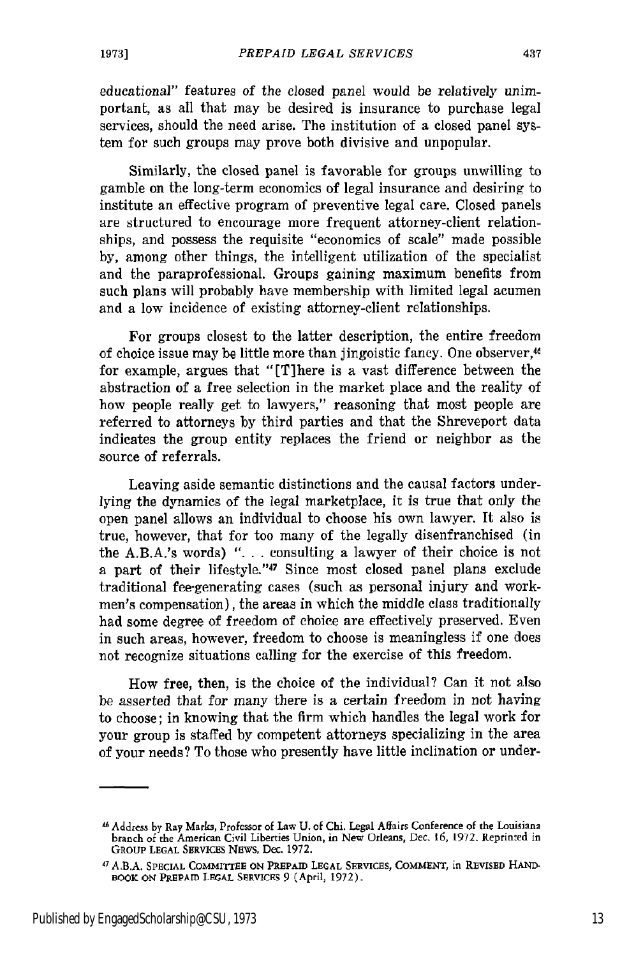educational" features of the closed panel would be relatively unimportant, as all that may be desired is insurance to purchase legal services, should the need arise. The institution of a closed panel system for such groups may prove both divisive and unpopular.

Similarly, the closed panel is favorable for groups unwilling to gamble on the long-term economics of legal insurance and desiring to institute an effective program of preventive legal care. Closed panels are structured to encourage more frequent attorney-client relationships, and possess the requisite "economics of scale" made possible by, among other things, the intelligent utilization of the specialist and the paraprofessional. Groups gaining maximum benefits from such plans will probably have membership with limited legal acumen and a low incidence of existing attorney-client relationships.

For groups closest to the latter description, the entire freedom of choice issue may be little more than jingoistic fancy. One observer,<sup>46</sup> for example, argues that "[T] here is a vast difference between the abstraction of a free selection in the market place and the reality of how people really get to lawyers," reasoning that most people are referred to attorneys by third parties and that the Shreveport data indicates the group entity replaces the friend or neighbor as the source of referrals.

Leaving aside semantic distinctions and the causal factors underlying the dynamics of the legal marketplace, it is true that only the open panel allows an individual to choose his own lawyer. It also is true, however, that for too many of the legally disenfranchised (in the A.B.A.'s words) ". **.** . consulting a lawyer of their choice is not a part of their lifestyle."<sup>47</sup> Since most closed panel plans exclude traditional fee-generating cases (such as personal injury and workmen's compensation), the areas in which the middle class traditionally had some degree of freedom of choice are effectively preserved. Even in such areas, however, freedom to choose is meaningless if one does not recognize situations calling for the exercise of this freedom.

How free, then, is the choice of the individual? Can it not also be asserted that for many there is a certain freedom in not having to choose; in knowing that the firm which handles the legal work for your group is staffed by competent attorneys specializing in the area of your needs? To those who presently have little inclination or under-

Addrecss by Ray Marks, Professor **of** Law **U.** of Chi. Legal Affairs Conference of **the** Louisiana branch of the American Civil Liberties Union, in New Orleans, Dec. **16,** 1972. Reprinted in **GROUP LEGAL** SERVICES **NEWS,** Dec. **1972.**

<sup>4</sup> A.B.A. **SPECIAL** COMMITTEE **ON** PREPAID *LEGAL* SERVICES, **COMMENT,** in REVISED **HAND.** BOOK **ON** PREPAID **LRGAL** SERVICES 9 (April, **1972).**